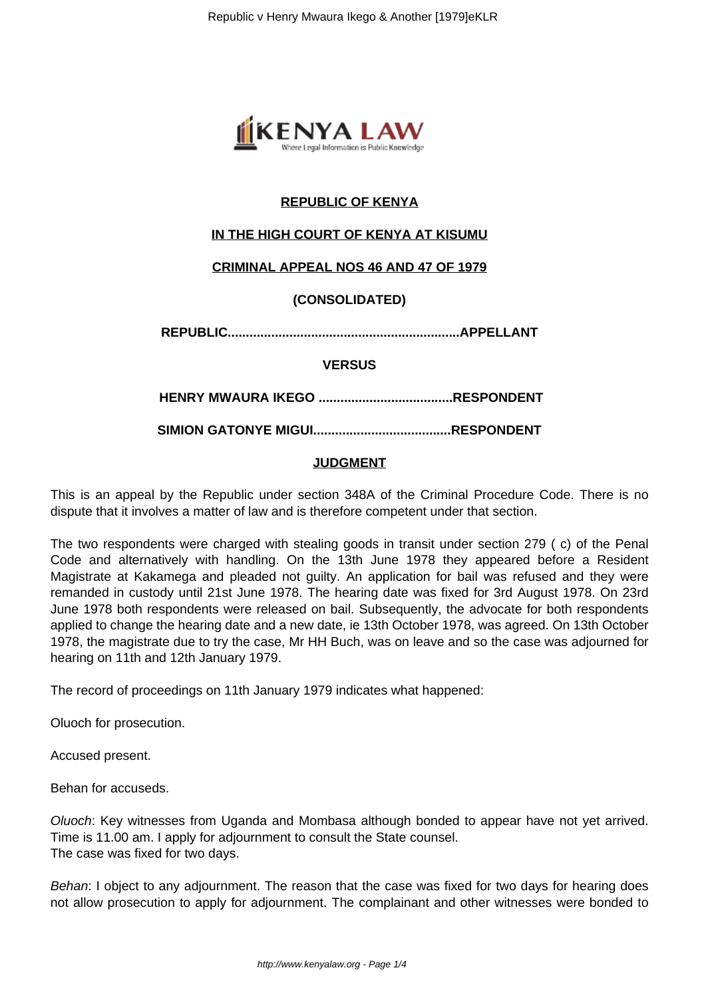

# **REPUBLIC OF KENYA**

# **IN THE HIGH COURT OF KENYA AT KISUMU**

## **CRIMINAL APPEAL NOS 46 AND 47 OF 1979**

## **(CONSOLIDATED)**

**REPUBLIC................................................................APPELLANT**

### **VERSUS**

**HENRY MWAURA IKEGO .....................................RESPONDENT**

**SIMION GATONYE MIGUI......................................RESPONDENT**

## **JUDGMENT**

This is an appeal by the Republic under section 348A of the Criminal Procedure Code. There is no dispute that it involves a matter of law and is therefore competent under that section.

The two respondents were charged with stealing goods in transit under section 279 ( c) of the Penal Code and alternatively with handling. On the 13th June 1978 they appeared before a Resident Magistrate at Kakamega and pleaded not guilty. An application for bail was refused and they were remanded in custody until 21st June 1978. The hearing date was fixed for 3rd August 1978. On 23rd June 1978 both respondents were released on bail. Subsequently, the advocate for both respondents applied to change the hearing date and a new date, ie 13th October 1978, was agreed. On 13th October 1978, the magistrate due to try the case, Mr HH Buch, was on leave and so the case was adjourned for hearing on 11th and 12th January 1979.

The record of proceedings on 11th January 1979 indicates what happened:

Oluoch for prosecution.

Accused present.

Behan for accuseds.

Oluoch: Key witnesses from Uganda and Mombasa although bonded to appear have not yet arrived. Time is 11.00 am. I apply for adjournment to consult the State counsel. The case was fixed for two days.

Behan: I object to any adjournment. The reason that the case was fixed for two days for hearing does not allow prosecution to apply for adjournment. The complainant and other witnesses were bonded to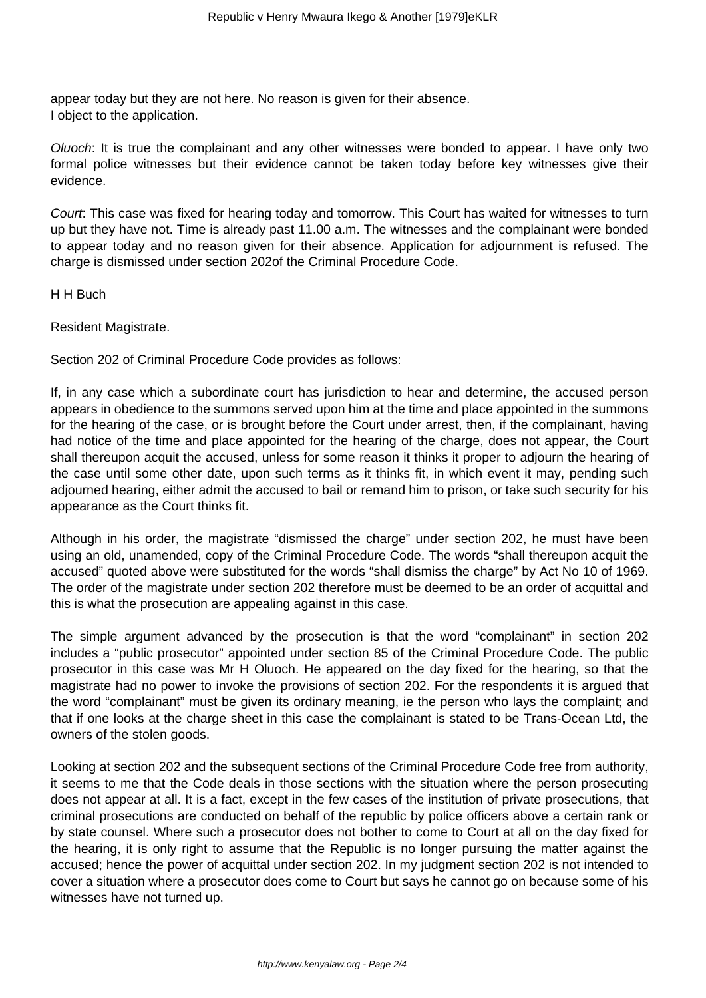appear today but they are not here. No reason is given for their absence. I object to the application.

Oluoch: It is true the complainant and any other witnesses were bonded to appear. I have only two formal police witnesses but their evidence cannot be taken today before key witnesses give their evidence.

Court: This case was fixed for hearing today and tomorrow. This Court has waited for witnesses to turn up but they have not. Time is already past 11.00 a.m. The witnesses and the complainant were bonded to appear today and no reason given for their absence. Application for adjournment is refused. The charge is dismissed under section 202of the Criminal Procedure Code.

H H Buch

Resident Magistrate.

Section 202 of Criminal Procedure Code provides as follows:

If, in any case which a subordinate court has jurisdiction to hear and determine, the accused person appears in obedience to the summons served upon him at the time and place appointed in the summons for the hearing of the case, or is brought before the Court under arrest, then, if the complainant, having had notice of the time and place appointed for the hearing of the charge, does not appear, the Court shall thereupon acquit the accused, unless for some reason it thinks it proper to adjourn the hearing of the case until some other date, upon such terms as it thinks fit, in which event it may, pending such adjourned hearing, either admit the accused to bail or remand him to prison, or take such security for his appearance as the Court thinks fit.

Although in his order, the magistrate "dismissed the charge" under section 202, he must have been using an old, unamended, copy of the Criminal Procedure Code. The words "shall thereupon acquit the accused" quoted above were substituted for the words "shall dismiss the charge" by Act No 10 of 1969. The order of the magistrate under section 202 therefore must be deemed to be an order of acquittal and this is what the prosecution are appealing against in this case.

The simple argument advanced by the prosecution is that the word "complainant" in section 202 includes a "public prosecutor" appointed under section 85 of the Criminal Procedure Code. The public prosecutor in this case was Mr H Oluoch. He appeared on the day fixed for the hearing, so that the magistrate had no power to invoke the provisions of section 202. For the respondents it is argued that the word "complainant" must be given its ordinary meaning, ie the person who lays the complaint; and that if one looks at the charge sheet in this case the complainant is stated to be Trans-Ocean Ltd, the owners of the stolen goods.

Looking at section 202 and the subsequent sections of the Criminal Procedure Code free from authority, it seems to me that the Code deals in those sections with the situation where the person prosecuting does not appear at all. It is a fact, except in the few cases of the institution of private prosecutions, that criminal prosecutions are conducted on behalf of the republic by police officers above a certain rank or by state counsel. Where such a prosecutor does not bother to come to Court at all on the day fixed for the hearing, it is only right to assume that the Republic is no longer pursuing the matter against the accused; hence the power of acquittal under section 202. In my judgment section 202 is not intended to cover a situation where a prosecutor does come to Court but says he cannot go on because some of his witnesses have not turned up.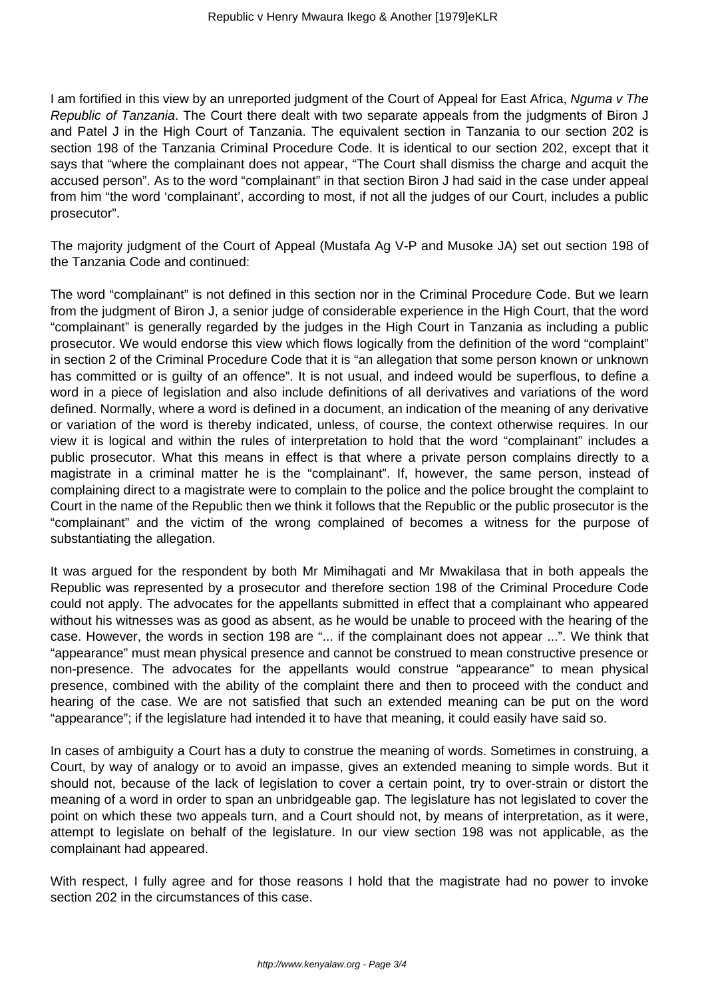I am fortified in this view by an unreported judgment of the Court of Appeal for East Africa, Nguma v The Republic of Tanzania. The Court there dealt with two separate appeals from the judgments of Biron J and Patel J in the High Court of Tanzania. The equivalent section in Tanzania to our section 202 is section 198 of the Tanzania Criminal Procedure Code. It is identical to our section 202, except that it says that "where the complainant does not appear, "The Court shall dismiss the charge and acquit the accused person". As to the word "complainant" in that section Biron J had said in the case under appeal from him "the word 'complainant', according to most, if not all the judges of our Court, includes a public prosecutor".

The majority judgment of the Court of Appeal (Mustafa Ag V-P and Musoke JA) set out section 198 of the Tanzania Code and continued:

The word "complainant" is not defined in this section nor in the Criminal Procedure Code. But we learn from the judgment of Biron J, a senior judge of considerable experience in the High Court, that the word "complainant" is generally regarded by the judges in the High Court in Tanzania as including a public prosecutor. We would endorse this view which flows logically from the definition of the word "complaint" in section 2 of the Criminal Procedure Code that it is "an allegation that some person known or unknown has committed or is guilty of an offence". It is not usual, and indeed would be superflous, to define a word in a piece of legislation and also include definitions of all derivatives and variations of the word defined. Normally, where a word is defined in a document, an indication of the meaning of any derivative or variation of the word is thereby indicated, unless, of course, the context otherwise requires. In our view it is logical and within the rules of interpretation to hold that the word "complainant" includes a public prosecutor. What this means in effect is that where a private person complains directly to a magistrate in a criminal matter he is the "complainant". If, however, the same person, instead of complaining direct to a magistrate were to complain to the police and the police brought the complaint to Court in the name of the Republic then we think it follows that the Republic or the public prosecutor is the "complainant" and the victim of the wrong complained of becomes a witness for the purpose of substantiating the allegation.

It was argued for the respondent by both Mr Mimihagati and Mr Mwakilasa that in both appeals the Republic was represented by a prosecutor and therefore section 198 of the Criminal Procedure Code could not apply. The advocates for the appellants submitted in effect that a complainant who appeared without his witnesses was as good as absent, as he would be unable to proceed with the hearing of the case. However, the words in section 198 are "... if the complainant does not appear ...". We think that "appearance" must mean physical presence and cannot be construed to mean constructive presence or non-presence. The advocates for the appellants would construe "appearance" to mean physical presence, combined with the ability of the complaint there and then to proceed with the conduct and hearing of the case. We are not satisfied that such an extended meaning can be put on the word "appearance"; if the legislature had intended it to have that meaning, it could easily have said so.

In cases of ambiguity a Court has a duty to construe the meaning of words. Sometimes in construing, a Court, by way of analogy or to avoid an impasse, gives an extended meaning to simple words. But it should not, because of the lack of legislation to cover a certain point, try to over-strain or distort the meaning of a word in order to span an unbridgeable gap. The legislature has not legislated to cover the point on which these two appeals turn, and a Court should not, by means of interpretation, as it were, attempt to legislate on behalf of the legislature. In our view section 198 was not applicable, as the complainant had appeared.

With respect, I fully agree and for those reasons I hold that the magistrate had no power to invoke section 202 in the circumstances of this case.